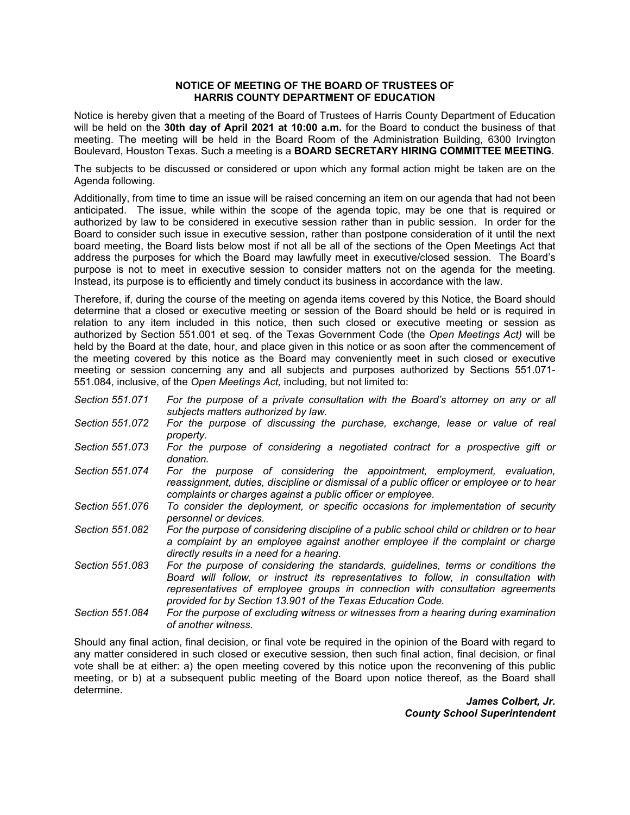## **NOTICE OF MEETING OF THE BOARD OF TRUSTEES OF HARRIS COUNTY DEPARTMENT OF EDUCATION**

Notice is hereby given that a meeting of the Board of Trustees of Harris County Department of Education will be held on the **30th day of April 2021 at 10:00 a.m.** for the Board to conduct the business of that meeting. The meeting will be held in the Board Room of the Administration Building, 6300 Irvington Boulevard, Houston Texas. Such a meeting is a **BOARD SECRETARY HIRING COMMITTEE MEETING**.

The subjects to be discussed or considered or upon which any formal action might be taken are on the Agenda following.

Additionally, from time to time an issue will be raised concerning an item on our agenda that had not been anticipated. The issue, while within the scope of the agenda topic, may be one that is required or authorized by law to be considered in executive session rather than in public session. In order for the Board to consider such issue in executive session, rather than postpone consideration of it until the next board meeting, the Board lists below most if not all be all of the sections of the Open Meetings Act that address the purposes for which the Board may lawfully meet in executive/closed session. The Board's purpose is not to meet in executive session to consider matters not on the agenda for the meeting. Instead, its purpose is to efficiently and timely conduct its business in accordance with the law.

Therefore, if, during the course of the meeting on agenda items covered by this Notice, the Board should determine that a closed or executive meeting or session of the Board should be held or is required in relation to any item included in this notice, then such closed or executive meeting or session as authorized by Section 551.001 et seq. of the Texas Government Code (the *Open Meetings Act)* will be held by the Board at the date, hour, and place given in this notice or as soon after the commencement of the meeting covered by this notice as the Board may conveniently meet in such closed or executive meeting or session concerning any and all subjects and purposes authorized by Sections 551.071- 551.084, inclusive, of the *Open Meetings Act,* including, but not limited to:

- *Section 551.071 For the purpose of a private consultation with the Board's attorney on any or all subjects matters authorized by law.*
- *Section 551.072 For the purpose of discussing the purchase, exchange, lease or value of real property.*
- *Section 551.073 For the purpose of considering a negotiated contract for a prospective gift or donation.*
- *Section 551.074 For the purpose of considering the appointment, employment, evaluation, reassignment, duties, discipline or dismissal of a public officer or employee or to hear complaints or charges against a public officer or employee.*
- *Section 551.076 To consider the deployment, or specific occasions for implementation of security personnel or devices.*
- *Section 551.082 For the purpose of considering discipline of a public school child or children or to hear a complaint by an employee against another employee if the complaint or charge directly results in a need for a hearing.*
- *Section 551.083 For the purpose of considering the standards, guidelines, terms or conditions the Board will follow, or instruct its representatives to follow, in consultation with representatives of employee groups in connection with consultation agreements provided for by Section 13.901 of the Texas Education Code.*
- *Section 551.084 For the purpose of excluding witness or witnesses from a hearing during examination of another witness.*

Should any final action, final decision, or final vote be required in the opinion of the Board with regard to any matter considered in such closed or executive session, then such final action, final decision, or final vote shall be at either: a) the open meeting covered by this notice upon the reconvening of this public meeting, or b) at a subsequent public meeting of the Board upon notice thereof, as the Board shall determine.

> *James Colbert, Jr. County School Superintendent*